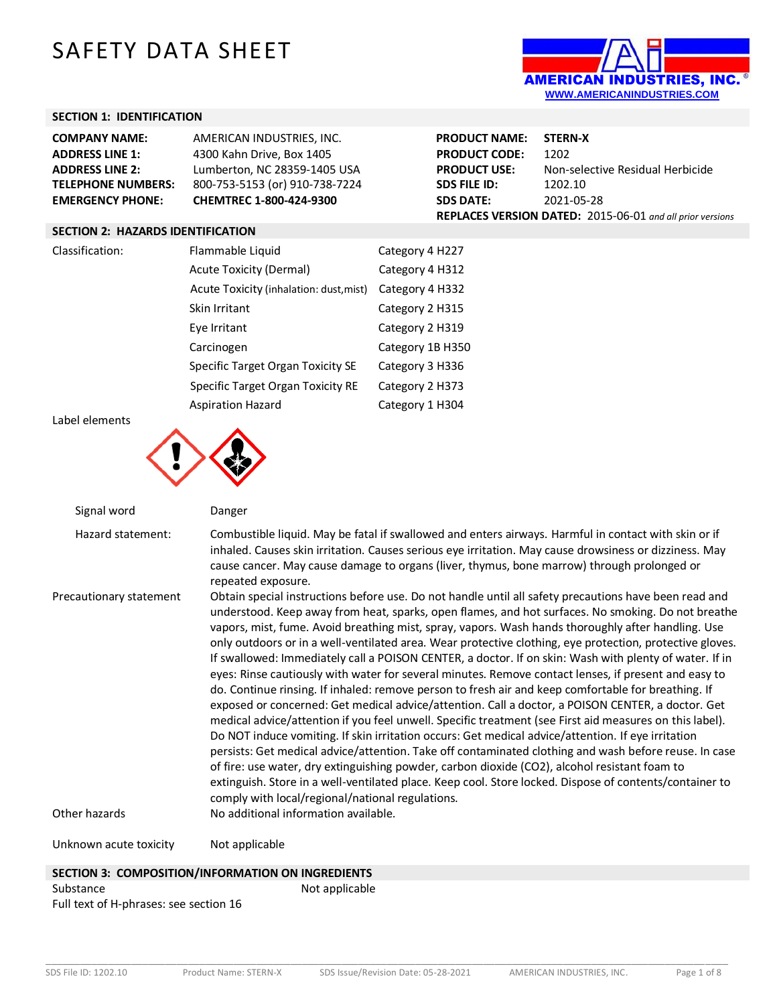# SAFETY DATA SHEET



## **SECTION 1: IDENTIFICATION**

| <b>COMPANY NAME:</b>      | AMERICAN INDUSTRIES, INC.      | <b>PRODUCT NAME:</b> | <b>STERN-X</b>                                                   |
|---------------------------|--------------------------------|----------------------|------------------------------------------------------------------|
| <b>ADDRESS LINE 1:</b>    | 4300 Kahn Drive, Box 1405      | <b>PRODUCT CODE:</b> | 1202                                                             |
| <b>ADDRESS LINE 2:</b>    | Lumberton, NC 28359-1405 USA   | <b>PRODUCT USE:</b>  | Non-selective Residual Herbicide                                 |
| <b>TELEPHONE NUMBERS:</b> | 800-753-5153 (or) 910-738-7224 | <b>SDS FILE ID:</b>  | 1202.10                                                          |
| <b>EMERGENCY PHONE:</b>   | <b>CHEMTREC 1-800-424-9300</b> | <b>SDS DATE:</b>     | 2021-05-28                                                       |
|                           |                                |                      | <b>REPLACES VERSION DATED:</b> 2015-06-01 and all prior versions |

#### **SECTION 2: HAZARDS IDENTIFICATION**

| Classification: | Flammable Liquid                        | Category 4 H227  |
|-----------------|-----------------------------------------|------------------|
|                 | Acute Toxicity (Dermal)                 | Category 4 H312  |
|                 | Acute Toxicity (inhalation: dust, mist) | Category 4 H332  |
|                 | Skin Irritant                           | Category 2 H315  |
|                 | Eye Irritant                            | Category 2 H319  |
|                 | Carcinogen                              | Category 1B H350 |
|                 | Specific Target Organ Toxicity SE       | Category 3 H336  |
|                 | Specific Target Organ Toxicity RE       | Category 2 H373  |
|                 | <b>Aspiration Hazard</b>                | Category 1 H304  |

Label elements



Signal word Danger Hazard statement: Combustible liquid. May be fatal if swallowed and enters airways. Harmful in contact with skin or if inhaled. Causes skin irritation. Causes serious eye irritation. May cause drowsiness or dizziness. May cause cancer. May cause damage to organs (liver, thymus, bone marrow) through prolonged or repeated exposure. Precautionary statement Obtain special instructions before use. Do not handle until all safety precautions have been read and understood. Keep away from heat, sparks, open flames, and hot surfaces. No smoking. Do not breathe vapors, mist, fume. Avoid breathing mist, spray, vapors. Wash hands thoroughly after handling. Use only outdoors or in a well-ventilated area. Wear protective clothing, eye protection, protective gloves. If swallowed: Immediately call a POISON CENTER, a doctor. If on skin: Wash with plenty of water. If in eyes: Rinse cautiously with water for several minutes. Remove contact lenses, if present and easy to do. Continue rinsing. If inhaled: remove person to fresh air and keep comfortable for breathing. If exposed or concerned: Get medical advice/attention. Call a doctor, a POISON CENTER, a doctor. Get medical advice/attention if you feel unwell. Specific treatment (see First aid measures on this label). Do NOT induce vomiting. If skin irritation occurs: Get medical advice/attention. If eye irritation persists: Get medical advice/attention. Take off contaminated clothing and wash before reuse. In case of fire: use water, dry extinguishing powder, carbon dioxide (CO2), alcohol resistant foam to extinguish. Store in a well-ventilated place. Keep cool. Store locked. Dispose of contents/container to comply with local/regional/national regulations. Other hazards No additional information available. Unknown acute toxicity Mot applicable

## **SECTION 3: COMPOSITION/INFORMATION ON INGREDIENTS** Substance Not applicable Full text of H-phrases: see section 16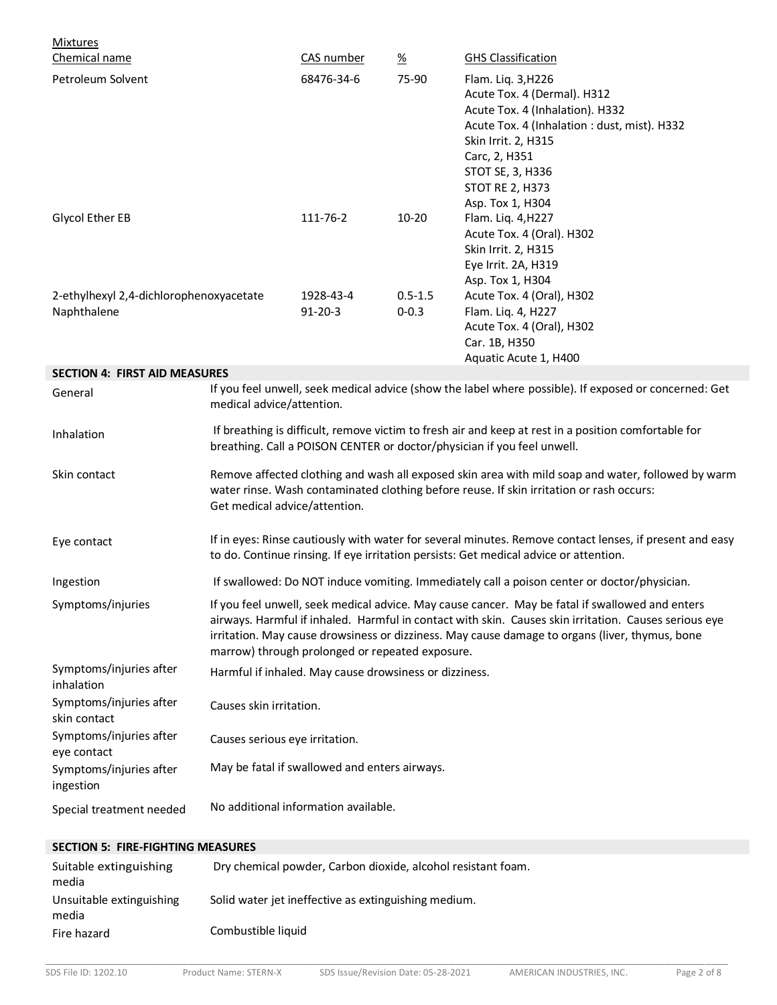| <b>Mixtures</b><br>Chemical name                       |                                                                                                                                                                                                                                                                                                                                                               | CAS number                 | $\frac{\%}{\sqrt{2}}$    | <b>GHS Classification</b>                                                                                                                                                                                                                      |
|--------------------------------------------------------|---------------------------------------------------------------------------------------------------------------------------------------------------------------------------------------------------------------------------------------------------------------------------------------------------------------------------------------------------------------|----------------------------|--------------------------|------------------------------------------------------------------------------------------------------------------------------------------------------------------------------------------------------------------------------------------------|
| Petroleum Solvent                                      |                                                                                                                                                                                                                                                                                                                                                               | 68476-34-6                 | 75-90                    | Flam. Liq. 3, H226<br>Acute Tox. 4 (Dermal). H312<br>Acute Tox. 4 (Inhalation). H332<br>Acute Tox. 4 (Inhalation : dust, mist). H332<br>Skin Irrit. 2, H315<br>Carc, 2, H351<br>STOT SE, 3, H336<br><b>STOT RE 2, H373</b><br>Asp. Tox 1, H304 |
| Glycol Ether EB                                        |                                                                                                                                                                                                                                                                                                                                                               | 111-76-2                   | $10 - 20$                | Flam. Liq. 4, H227<br>Acute Tox. 4 (Oral). H302<br>Skin Irrit. 2, H315<br>Eye Irrit. 2A, H319<br>Asp. Tox 1, H304                                                                                                                              |
| 2-ethylhexyl 2,4-dichlorophenoxyacetate<br>Naphthalene |                                                                                                                                                                                                                                                                                                                                                               | 1928-43-4<br>$91 - 20 - 3$ | $0.5 - 1.5$<br>$0 - 0.3$ | Acute Tox. 4 (Oral), H302<br>Flam. Liq. 4, H227<br>Acute Tox. 4 (Oral), H302<br>Car. 1B, H350<br>Aquatic Acute 1, H400                                                                                                                         |
| <b>SECTION 4: FIRST AID MEASURES</b>                   |                                                                                                                                                                                                                                                                                                                                                               |                            |                          |                                                                                                                                                                                                                                                |
| General                                                | medical advice/attention.                                                                                                                                                                                                                                                                                                                                     |                            |                          | If you feel unwell, seek medical advice (show the label where possible). If exposed or concerned: Get                                                                                                                                          |
| Inhalation                                             | If breathing is difficult, remove victim to fresh air and keep at rest in a position comfortable for<br>breathing. Call a POISON CENTER or doctor/physician if you feel unwell.                                                                                                                                                                               |                            |                          |                                                                                                                                                                                                                                                |
| Skin contact                                           | Remove affected clothing and wash all exposed skin area with mild soap and water, followed by warm<br>water rinse. Wash contaminated clothing before reuse. If skin irritation or rash occurs:<br>Get medical advice/attention.                                                                                                                               |                            |                          |                                                                                                                                                                                                                                                |
| Eye contact                                            | If in eyes: Rinse cautiously with water for several minutes. Remove contact lenses, if present and easy<br>to do. Continue rinsing. If eye irritation persists: Get medical advice or attention.                                                                                                                                                              |                            |                          |                                                                                                                                                                                                                                                |
| Ingestion                                              | If swallowed: Do NOT induce vomiting. Immediately call a poison center or doctor/physician.                                                                                                                                                                                                                                                                   |                            |                          |                                                                                                                                                                                                                                                |
| Symptoms/injuries                                      | If you feel unwell, seek medical advice. May cause cancer. May be fatal if swallowed and enters<br>airways. Harmful if inhaled. Harmful in contact with skin. Causes skin irritation. Causes serious eye<br>irritation. May cause drowsiness or dizziness. May cause damage to organs (liver, thymus, bone<br>marrow) through prolonged or repeated exposure. |                            |                          |                                                                                                                                                                                                                                                |
| Symptoms/injuries after<br>inhalation                  | Harmful if inhaled. May cause drowsiness or dizziness.                                                                                                                                                                                                                                                                                                        |                            |                          |                                                                                                                                                                                                                                                |
| Symptoms/injuries after<br>skin contact                | Causes skin irritation.                                                                                                                                                                                                                                                                                                                                       |                            |                          |                                                                                                                                                                                                                                                |
| Symptoms/injuries after<br>eye contact                 | Causes serious eye irritation.                                                                                                                                                                                                                                                                                                                                |                            |                          |                                                                                                                                                                                                                                                |
| Symptoms/injuries after<br>ingestion                   | May be fatal if swallowed and enters airways.                                                                                                                                                                                                                                                                                                                 |                            |                          |                                                                                                                                                                                                                                                |
| Special treatment needed                               | No additional information available.                                                                                                                                                                                                                                                                                                                          |                            |                          |                                                                                                                                                                                                                                                |
| <b>SECTION 5: FIRE-FIGHTING MEASURES</b>               |                                                                                                                                                                                                                                                                                                                                                               |                            |                          |                                                                                                                                                                                                                                                |

| Suitable extinguishing<br>media   | Dry chemical powder, Carbon dioxide, alcohol resistant foam. |
|-----------------------------------|--------------------------------------------------------------|
| Unsuitable extinguishing<br>media | Solid water jet ineffective as extinguishing medium.         |
| Fire hazard                       | Combustible liquid                                           |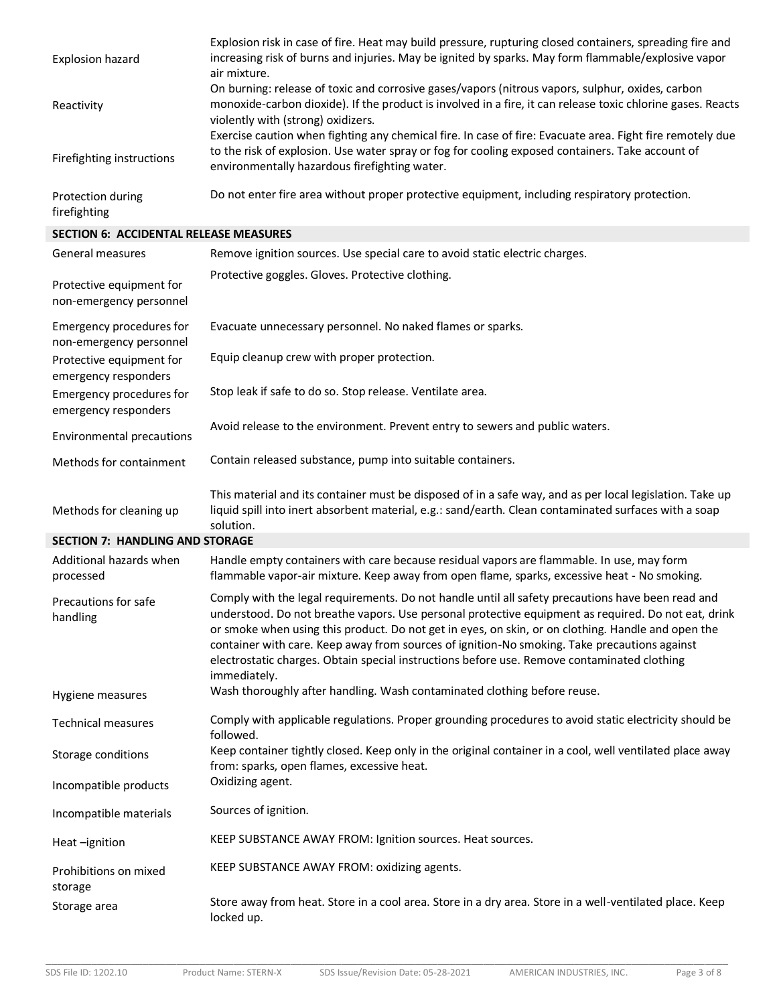| Explosion hazard          | Explosion risk in case of fire. Heat may build pressure, rupturing closed containers, spreading fire and<br>increasing risk of burns and injuries. May be ignited by sparks. May form flammable/explosive vapor<br>air mixture.                                |
|---------------------------|----------------------------------------------------------------------------------------------------------------------------------------------------------------------------------------------------------------------------------------------------------------|
| Reactivity                | On burning: release of toxic and corrosive gases/vapors (nitrous vapors, sulphur, oxides, carbon<br>monoxide-carbon dioxide). If the product is involved in a fire, it can release toxic chlorine gases. Reacts<br>violently with (strong) oxidizers.          |
| Firefighting instructions | Exercise caution when fighting any chemical fire. In case of fire: Evacuate area. Fight fire remotely due<br>to the risk of explosion. Use water spray or fog for cooling exposed containers. Take account of<br>environmentally hazardous firefighting water. |
| Protection during         | Do not enter fire area without proper protective equipment, including respiratory protection.                                                                                                                                                                  |

firefighting

**SECTION 6: ACCIDENTAL RELEASE MEASURES**

| General measures                                    | Remove ignition sources. Use special care to avoid static electric charges.                                                                                                                                                                                                                                                                                                                                                                                                                                                   |
|-----------------------------------------------------|-------------------------------------------------------------------------------------------------------------------------------------------------------------------------------------------------------------------------------------------------------------------------------------------------------------------------------------------------------------------------------------------------------------------------------------------------------------------------------------------------------------------------------|
| Protective equipment for<br>non-emergency personnel | Protective goggles. Gloves. Protective clothing.                                                                                                                                                                                                                                                                                                                                                                                                                                                                              |
| Emergency procedures for<br>non-emergency personnel | Evacuate unnecessary personnel. No naked flames or sparks.                                                                                                                                                                                                                                                                                                                                                                                                                                                                    |
| Protective equipment for<br>emergency responders    | Equip cleanup crew with proper protection.                                                                                                                                                                                                                                                                                                                                                                                                                                                                                    |
| Emergency procedures for<br>emergency responders    | Stop leak if safe to do so. Stop release. Ventilate area.                                                                                                                                                                                                                                                                                                                                                                                                                                                                     |
| <b>Environmental precautions</b>                    | Avoid release to the environment. Prevent entry to sewers and public waters.                                                                                                                                                                                                                                                                                                                                                                                                                                                  |
| Methods for containment                             | Contain released substance, pump into suitable containers.                                                                                                                                                                                                                                                                                                                                                                                                                                                                    |
| Methods for cleaning up                             | This material and its container must be disposed of in a safe way, and as per local legislation. Take up<br>liquid spill into inert absorbent material, e.g.: sand/earth. Clean contaminated surfaces with a soap<br>solution.                                                                                                                                                                                                                                                                                                |
| <b>SECTION 7: HANDLING AND STORAGE</b>              |                                                                                                                                                                                                                                                                                                                                                                                                                                                                                                                               |
| Additional hazards when<br>processed                | Handle empty containers with care because residual vapors are flammable. In use, may form<br>flammable vapor-air mixture. Keep away from open flame, sparks, excessive heat - No smoking.                                                                                                                                                                                                                                                                                                                                     |
| Precautions for safe<br>handling                    | Comply with the legal requirements. Do not handle until all safety precautions have been read and<br>understood. Do not breathe vapors. Use personal protective equipment as required. Do not eat, drink<br>or smoke when using this product. Do not get in eyes, on skin, or on clothing. Handle and open the<br>container with care. Keep away from sources of ignition-No smoking. Take precautions against<br>electrostatic charges. Obtain special instructions before use. Remove contaminated clothing<br>immediately. |
| Hygiene measures                                    | Wash thoroughly after handling. Wash contaminated clothing before reuse.                                                                                                                                                                                                                                                                                                                                                                                                                                                      |
| <b>Technical measures</b>                           | Comply with applicable regulations. Proper grounding procedures to avoid static electricity should be<br>followed.                                                                                                                                                                                                                                                                                                                                                                                                            |
| Storage conditions                                  | Keep container tightly closed. Keep only in the original container in a cool, well ventilated place away<br>from: sparks, open flames, excessive heat.                                                                                                                                                                                                                                                                                                                                                                        |
| Incompatible products                               | Oxidizing agent.                                                                                                                                                                                                                                                                                                                                                                                                                                                                                                              |
| Incompatible materials                              | Sources of ignition.                                                                                                                                                                                                                                                                                                                                                                                                                                                                                                          |
| Heat-ignition                                       | KEEP SUBSTANCE AWAY FROM: Ignition sources. Heat sources.                                                                                                                                                                                                                                                                                                                                                                                                                                                                     |
| Prohibitions on mixed<br>storage                    | KEEP SUBSTANCE AWAY FROM: oxidizing agents.                                                                                                                                                                                                                                                                                                                                                                                                                                                                                   |
| Storage area                                        | Store away from heat. Store in a cool area. Store in a dry area. Store in a well-ventilated place. Keep<br>locked up.                                                                                                                                                                                                                                                                                                                                                                                                         |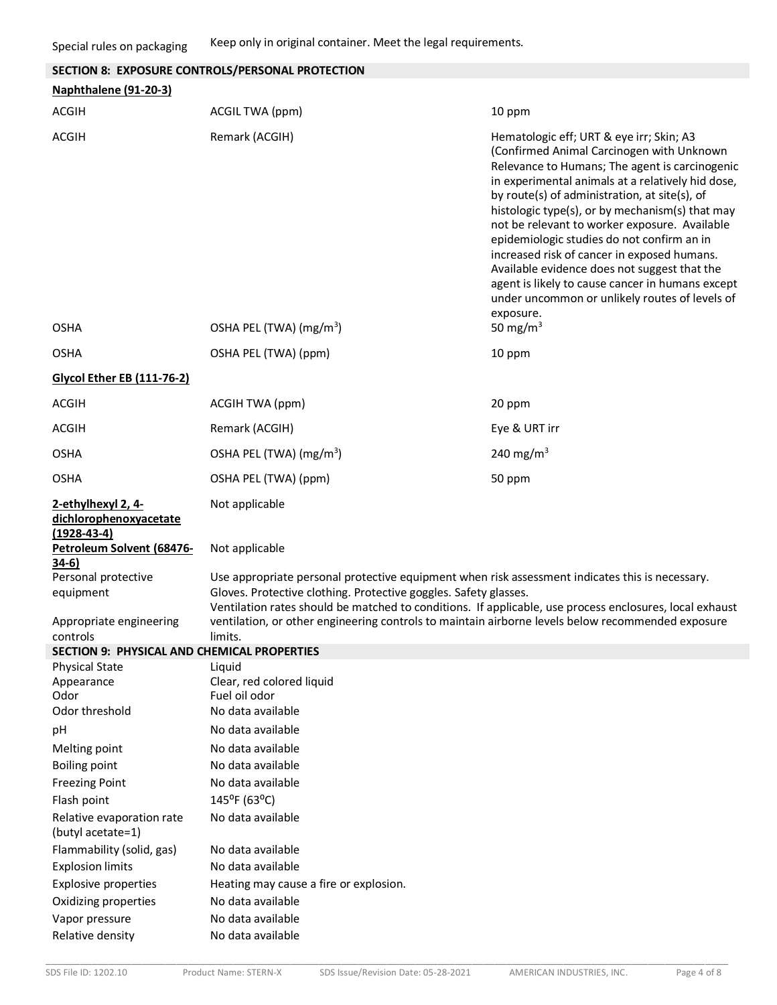|                                                               | SECTION 8: EXPOSURE CONTROLS/PERSONAL PROTECTION                                                                                                                                                                                                                               |                                                                                                                                                                                                                                                                                                                                                                                                                                                                                                                                                                                                                   |
|---------------------------------------------------------------|--------------------------------------------------------------------------------------------------------------------------------------------------------------------------------------------------------------------------------------------------------------------------------|-------------------------------------------------------------------------------------------------------------------------------------------------------------------------------------------------------------------------------------------------------------------------------------------------------------------------------------------------------------------------------------------------------------------------------------------------------------------------------------------------------------------------------------------------------------------------------------------------------------------|
| Naphthalene (91-20-3)                                         |                                                                                                                                                                                                                                                                                |                                                                                                                                                                                                                                                                                                                                                                                                                                                                                                                                                                                                                   |
|                                                               |                                                                                                                                                                                                                                                                                |                                                                                                                                                                                                                                                                                                                                                                                                                                                                                                                                                                                                                   |
| <b>ACGIH</b>                                                  | ACGIL TWA (ppm)                                                                                                                                                                                                                                                                | 10 ppm                                                                                                                                                                                                                                                                                                                                                                                                                                                                                                                                                                                                            |
| <b>ACGIH</b>                                                  | Remark (ACGIH)                                                                                                                                                                                                                                                                 | Hematologic eff; URT & eye irr; Skin; A3<br>(Confirmed Animal Carcinogen with Unknown<br>Relevance to Humans; The agent is carcinogenic<br>in experimental animals at a relatively hid dose,<br>by route(s) of administration, at site(s), of<br>histologic type(s), or by mechanism(s) that may<br>not be relevant to worker exposure. Available<br>epidemiologic studies do not confirm an in<br>increased risk of cancer in exposed humans.<br>Available evidence does not suggest that the<br>agent is likely to cause cancer in humans except<br>under uncommon or unlikely routes of levels of<br>exposure. |
| <b>OSHA</b>                                                   | OSHA PEL (TWA) (mg/m <sup>3</sup> )                                                                                                                                                                                                                                            | 50 mg/m $3$                                                                                                                                                                                                                                                                                                                                                                                                                                                                                                                                                                                                       |
| <b>OSHA</b>                                                   | OSHA PEL (TWA) (ppm)                                                                                                                                                                                                                                                           | 10 ppm                                                                                                                                                                                                                                                                                                                                                                                                                                                                                                                                                                                                            |
| <b>Glycol Ether EB (111-76-2)</b>                             |                                                                                                                                                                                                                                                                                |                                                                                                                                                                                                                                                                                                                                                                                                                                                                                                                                                                                                                   |
| <b>ACGIH</b>                                                  | ACGIH TWA (ppm)                                                                                                                                                                                                                                                                | 20 ppm                                                                                                                                                                                                                                                                                                                                                                                                                                                                                                                                                                                                            |
| <b>ACGIH</b>                                                  | Remark (ACGIH)                                                                                                                                                                                                                                                                 | Eye & URT irr                                                                                                                                                                                                                                                                                                                                                                                                                                                                                                                                                                                                     |
| <b>OSHA</b>                                                   | OSHA PEL (TWA) (mg/m <sup>3</sup> )                                                                                                                                                                                                                                            | 240 mg/m <sup>3</sup>                                                                                                                                                                                                                                                                                                                                                                                                                                                                                                                                                                                             |
| <b>OSHA</b>                                                   | OSHA PEL (TWA) (ppm)                                                                                                                                                                                                                                                           | 50 ppm                                                                                                                                                                                                                                                                                                                                                                                                                                                                                                                                                                                                            |
| 2-ethylhexyl 2, 4-<br>dichlorophenoxyacetate<br>$(1928-43-4)$ | Not applicable                                                                                                                                                                                                                                                                 |                                                                                                                                                                                                                                                                                                                                                                                                                                                                                                                                                                                                                   |
| Petroleum Solvent (68476-<br>$34-6)$                          | Not applicable                                                                                                                                                                                                                                                                 |                                                                                                                                                                                                                                                                                                                                                                                                                                                                                                                                                                                                                   |
| Personal protective<br>equipment                              | Use appropriate personal protective equipment when risk assessment indicates this is necessary.<br>Gloves. Protective clothing. Protective goggles. Safety glasses.<br>Ventilation rates should be matched to conditions. If applicable, use process enclosures, local exhaust |                                                                                                                                                                                                                                                                                                                                                                                                                                                                                                                                                                                                                   |
| Appropriate engineering<br>controls                           | ventilation, or other engineering controls to maintain airborne levels below recommended exposure<br>limits.                                                                                                                                                                   |                                                                                                                                                                                                                                                                                                                                                                                                                                                                                                                                                                                                                   |
| <b>SECTION 9: PHYSICAL AND CHEMICAL PROPERTIES</b>            |                                                                                                                                                                                                                                                                                |                                                                                                                                                                                                                                                                                                                                                                                                                                                                                                                                                                                                                   |
| <b>Physical State</b>                                         | Liquid                                                                                                                                                                                                                                                                         |                                                                                                                                                                                                                                                                                                                                                                                                                                                                                                                                                                                                                   |
| Appearance<br>Odor                                            | Clear, red colored liquid<br>Fuel oil odor                                                                                                                                                                                                                                     |                                                                                                                                                                                                                                                                                                                                                                                                                                                                                                                                                                                                                   |
| Odor threshold                                                | No data available                                                                                                                                                                                                                                                              |                                                                                                                                                                                                                                                                                                                                                                                                                                                                                                                                                                                                                   |
| рH                                                            | No data available                                                                                                                                                                                                                                                              |                                                                                                                                                                                                                                                                                                                                                                                                                                                                                                                                                                                                                   |
|                                                               | No data available                                                                                                                                                                                                                                                              |                                                                                                                                                                                                                                                                                                                                                                                                                                                                                                                                                                                                                   |
| Melting point<br><b>Boiling point</b>                         | No data available                                                                                                                                                                                                                                                              |                                                                                                                                                                                                                                                                                                                                                                                                                                                                                                                                                                                                                   |
|                                                               | No data available                                                                                                                                                                                                                                                              |                                                                                                                                                                                                                                                                                                                                                                                                                                                                                                                                                                                                                   |
| <b>Freezing Point</b><br>Flash point                          | 145°F (63°C)                                                                                                                                                                                                                                                                   |                                                                                                                                                                                                                                                                                                                                                                                                                                                                                                                                                                                                                   |
| Relative evaporation rate<br>(butyl acetate=1)                | No data available                                                                                                                                                                                                                                                              |                                                                                                                                                                                                                                                                                                                                                                                                                                                                                                                                                                                                                   |
| Flammability (solid, gas)                                     | No data available                                                                                                                                                                                                                                                              |                                                                                                                                                                                                                                                                                                                                                                                                                                                                                                                                                                                                                   |
| <b>Explosion limits</b>                                       | No data available                                                                                                                                                                                                                                                              |                                                                                                                                                                                                                                                                                                                                                                                                                                                                                                                                                                                                                   |
| <b>Explosive properties</b>                                   | Heating may cause a fire or explosion.                                                                                                                                                                                                                                         |                                                                                                                                                                                                                                                                                                                                                                                                                                                                                                                                                                                                                   |
| Oxidizing properties                                          | No data available                                                                                                                                                                                                                                                              |                                                                                                                                                                                                                                                                                                                                                                                                                                                                                                                                                                                                                   |
| Vapor pressure                                                | No data available                                                                                                                                                                                                                                                              |                                                                                                                                                                                                                                                                                                                                                                                                                                                                                                                                                                                                                   |
| Relative density                                              | No data available                                                                                                                                                                                                                                                              |                                                                                                                                                                                                                                                                                                                                                                                                                                                                                                                                                                                                                   |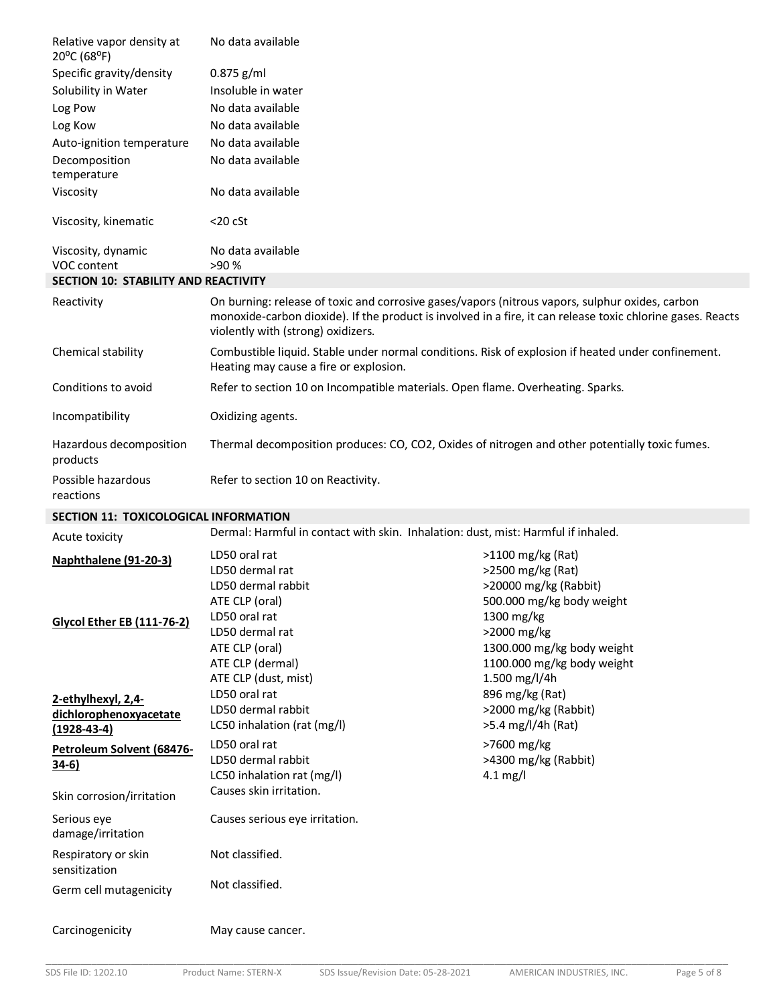| Relative vapor density at<br>20°C (68°F)    | No data available                                                                                                                                                                                                                                    |
|---------------------------------------------|------------------------------------------------------------------------------------------------------------------------------------------------------------------------------------------------------------------------------------------------------|
| Specific gravity/density                    | $0.875$ g/ml                                                                                                                                                                                                                                         |
| Solubility in Water                         | Insoluble in water                                                                                                                                                                                                                                   |
| Log Pow                                     | No data available                                                                                                                                                                                                                                    |
| Log Kow                                     | No data available                                                                                                                                                                                                                                    |
| Auto-ignition temperature                   | No data available                                                                                                                                                                                                                                    |
| Decomposition<br>temperature                | No data available                                                                                                                                                                                                                                    |
| Viscosity                                   | No data available                                                                                                                                                                                                                                    |
| Viscosity, kinematic                        | $<$ 20 $c$ St                                                                                                                                                                                                                                        |
| Viscosity, dynamic<br>VOC content           | No data available<br>>90 %                                                                                                                                                                                                                           |
| <b>SECTION 10: STABILITY AND REACTIVITY</b> |                                                                                                                                                                                                                                                      |
| Reactivity                                  | On burning: release of toxic and corrosive gases/vapors (nitrous vapors, sulphur oxides, carbon<br>monoxide-carbon dioxide). If the product is involved in a fire, it can release toxic chlorine gases. Reacts<br>violently with (strong) oxidizers. |
| Chemical stability                          | Combustible liquid. Stable under normal conditions. Risk of explosion if heated under confinement.<br>Heating may cause a fire or explosion.                                                                                                         |
| Conditions to avoid                         | Refer to section 10 on Incompatible materials. Open flame. Overheating. Sparks.                                                                                                                                                                      |
| Incompatibility                             | Oxidizing agents.                                                                                                                                                                                                                                    |
| Hazardous decomposition<br>products         | Thermal decomposition produces: CO, CO2, Oxides of nitrogen and other potentially toxic fumes.                                                                                                                                                       |
| Possible hazardous<br>reactions             | Refer to section 10 on Reactivity.                                                                                                                                                                                                                   |

# **SECTION 11: TOXICOLOGICAL INFORMATION**

| Acute toxicity                                                    | Dermal: Harmful in contact with skin. Inhalation: dust, mist: Harmful if inhaled.                                                      |                                                                                                                                                              |
|-------------------------------------------------------------------|----------------------------------------------------------------------------------------------------------------------------------------|--------------------------------------------------------------------------------------------------------------------------------------------------------------|
| Naphthalene (91-20-3)                                             | LD50 oral rat<br>LD50 dermal rat                                                                                                       | >1100 mg/kg (Rat)<br>>2500 mg/kg (Rat)                                                                                                                       |
| <b>Glycol Ether EB (111-76-2)</b>                                 | LD50 dermal rabbit<br>ATE CLP (oral)<br>LD50 oral rat<br>LD50 dermal rat<br>ATE CLP (oral)<br>ATE CLP (dermal)<br>ATE CLP (dust, mist) | >20000 mg/kg (Rabbit)<br>500.000 mg/kg body weight<br>1300 mg/kg<br>>2000 mg/kg<br>1300.000 mg/kg body weight<br>1100.000 mg/kg body weight<br>1.500 mg/l/4h |
| 2-ethylhexyl, 2,4-<br>dichlorophenoxyacetate<br>$(1928 - 43 - 4)$ | LD50 oral rat<br>LD50 dermal rabbit<br>LC50 inhalation (rat (mg/l)                                                                     | 896 mg/kg (Rat)<br>>2000 mg/kg (Rabbit)<br>>5.4 mg/l/4h (Rat)                                                                                                |
| Petroleum Solvent (68476-<br><u>34-6)</u>                         | LD50 oral rat<br>LD50 dermal rabbit<br>LC50 inhalation rat (mg/l)                                                                      | >7600 mg/kg<br>>4300 mg/kg (Rabbit)<br>$4.1$ mg/l                                                                                                            |
| Skin corrosion/irritation                                         | Causes skin irritation.                                                                                                                |                                                                                                                                                              |
| Serious eye<br>damage/irritation                                  | Causes serious eye irritation.                                                                                                         |                                                                                                                                                              |
| Respiratory or skin<br>sensitization                              | Not classified.                                                                                                                        |                                                                                                                                                              |
| Germ cell mutagenicity                                            | Not classified.                                                                                                                        |                                                                                                                                                              |
| Carcinogenicity                                                   | May cause cancer.                                                                                                                      |                                                                                                                                                              |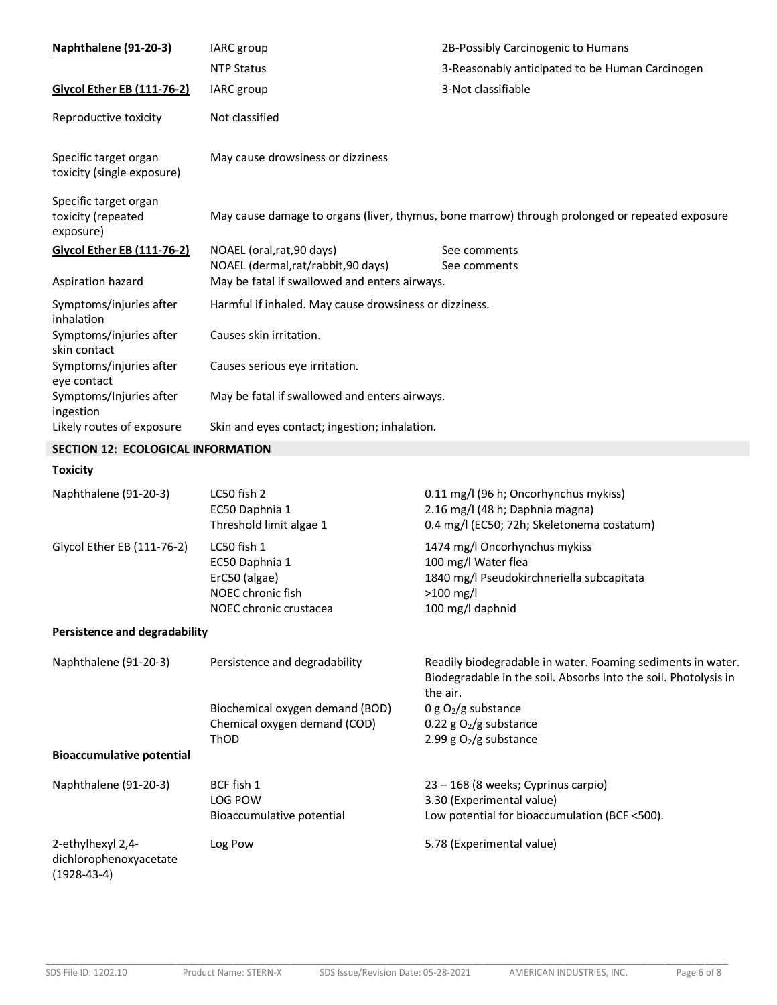| Naphthalene (91-20-3)                                        | IARC group                                                                                    | 2B-Possibly Carcinogenic to Humans                                                                                                         |
|--------------------------------------------------------------|-----------------------------------------------------------------------------------------------|--------------------------------------------------------------------------------------------------------------------------------------------|
|                                                              | <b>NTP Status</b>                                                                             | 3-Reasonably anticipated to be Human Carcinogen                                                                                            |
| <b>Glycol Ether EB (111-76-2)</b>                            | IARC group                                                                                    | 3-Not classifiable                                                                                                                         |
| Reproductive toxicity                                        | Not classified                                                                                |                                                                                                                                            |
| Specific target organ<br>toxicity (single exposure)          | May cause drowsiness or dizziness                                                             |                                                                                                                                            |
| Specific target organ<br>toxicity (repeated<br>exposure)     |                                                                                               | May cause damage to organs (liver, thymus, bone marrow) through prolonged or repeated exposure                                             |
| <b>Glycol Ether EB (111-76-2)</b>                            | NOAEL (oral, rat, 90 days)<br>NOAEL (dermal,rat/rabbit,90 days)                               | See comments<br>See comments                                                                                                               |
| Aspiration hazard                                            | May be fatal if swallowed and enters airways.                                                 |                                                                                                                                            |
| Symptoms/injuries after<br>inhalation                        | Harmful if inhaled. May cause drowsiness or dizziness.                                        |                                                                                                                                            |
| Symptoms/injuries after<br>skin contact                      | Causes skin irritation.                                                                       |                                                                                                                                            |
| Symptoms/injuries after<br>eye contact                       | Causes serious eye irritation.                                                                |                                                                                                                                            |
| Symptoms/Injuries after<br>ingestion                         | May be fatal if swallowed and enters airways.                                                 |                                                                                                                                            |
| Likely routes of exposure                                    | Skin and eyes contact; ingestion; inhalation.                                                 |                                                                                                                                            |
| SECTION 12: ECOLOGICAL INFORMATION                           |                                                                                               |                                                                                                                                            |
| <b>Toxicity</b>                                              |                                                                                               |                                                                                                                                            |
| Naphthalene (91-20-3)                                        | LC50 fish 2<br>EC50 Daphnia 1<br>Threshold limit algae 1                                      | 0.11 mg/l (96 h; Oncorhynchus mykiss)<br>2.16 mg/l (48 h; Daphnia magna)<br>0.4 mg/l (EC50; 72h; Skeletonema costatum)                     |
| Glycol Ether EB (111-76-2)                                   | LC50 fish 1<br>EC50 Daphnia 1<br>ErC50 (algae)<br>NOEC chronic fish<br>NOEC chronic crustacea | 1474 mg/l Oncorhynchus mykiss<br>100 mg/l Water flea<br>1840 mg/l Pseudokirchneriella subcapitata<br>$>100$ mg/l<br>100 mg/l daphnid       |
| <b>Persistence and degradability</b>                         |                                                                                               |                                                                                                                                            |
| Naphthalene (91-20-3)                                        | Persistence and degradability                                                                 | Readily biodegradable in water. Foaming sediments in water.<br>Biodegradable in the soil. Absorbs into the soil. Photolysis in<br>the air. |
|                                                              | Biochemical oxygen demand (BOD)<br>Chemical oxygen demand (COD)<br>ThOD                       | 0 g $O_2/g$ substance<br>0.22 g $O_2/g$ substance<br>2.99 g $O2/g$ substance                                                               |
| <b>Bioaccumulative potential</b>                             |                                                                                               |                                                                                                                                            |
| Naphthalene (91-20-3)                                        | BCF fish 1<br>LOG POW<br>Bioaccumulative potential                                            | 23 - 168 (8 weeks; Cyprinus carpio)<br>3.30 (Experimental value)<br>Low potential for bioaccumulation (BCF <500).                          |
| 2-ethylhexyl 2,4-<br>dichlorophenoxyacetate<br>$(1928-43-4)$ | Log Pow                                                                                       | 5.78 (Experimental value)                                                                                                                  |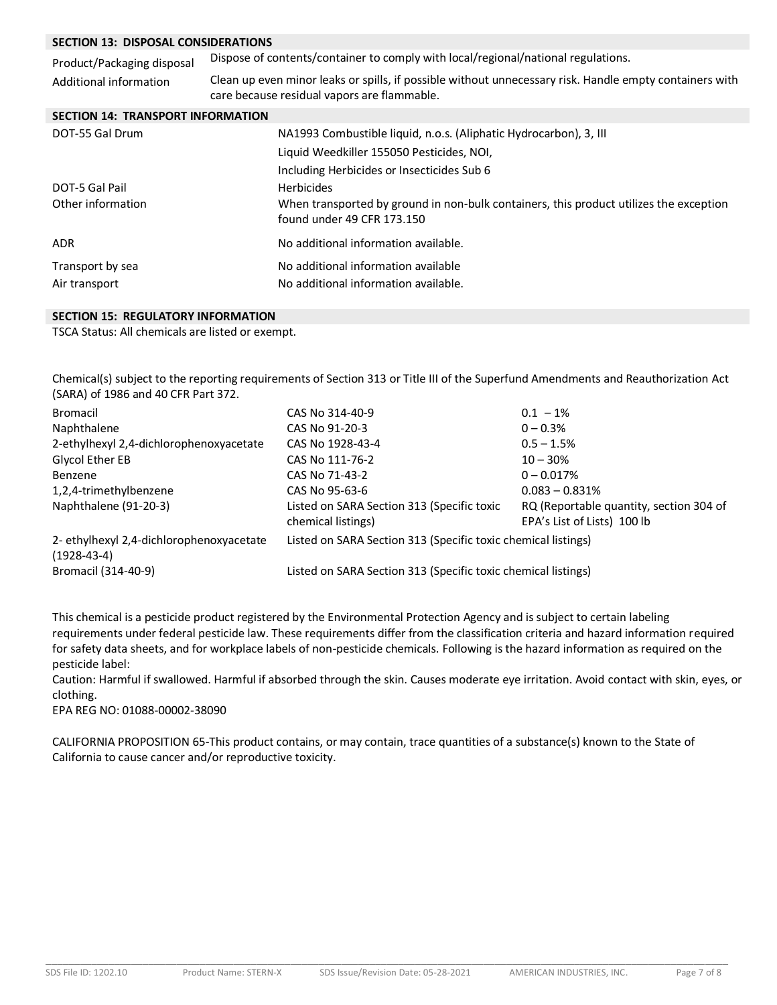## **SECTION 13: DISPOSAL CONSIDERATIONS**

| SECTION 13: DISPOSAL CONSIDERATIONS      |                                                                                                                                                        |  |  |
|------------------------------------------|--------------------------------------------------------------------------------------------------------------------------------------------------------|--|--|
| Product/Packaging disposal               | Dispose of contents/container to comply with local/regional/national regulations.                                                                      |  |  |
| Additional information                   | Clean up even minor leaks or spills, if possible without unnecessary risk. Handle empty containers with<br>care because residual vapors are flammable. |  |  |
| <b>SECTION 14: TRANSPORT INFORMATION</b> |                                                                                                                                                        |  |  |
| DOT-55 Gal Drum                          | NA1993 Combustible liquid, n.o.s. (Aliphatic Hydrocarbon), 3, III                                                                                      |  |  |
|                                          | Liquid Weedkiller 155050 Pesticides, NOI,                                                                                                              |  |  |
|                                          | Including Herbicides or Insecticides Sub 6                                                                                                             |  |  |
| DOT-5 Gal Pail                           | <b>Herbicides</b>                                                                                                                                      |  |  |
| Other information                        | When transported by ground in non-bulk containers, this product utilizes the exception<br>found under 49 CFR 173.150                                   |  |  |
| <b>ADR</b>                               | No additional information available.                                                                                                                   |  |  |
| Transport by sea                         | No additional information available                                                                                                                    |  |  |
| Air transport                            | No additional information available.                                                                                                                   |  |  |

## **SECTION 15: REGULATORY INFORMATION**

TSCA Status: All chemicals are listed or exempt.

Chemical(s) subject to the reporting requirements of Section 313 or Title III of the Superfund Amendments and Reauthorization Act (SARA) of 1986 and 40 CFR Part 372.

| Bromacil                                                  | CAS No 314-40-9                                                  | $0.1 - 1\%$                                                            |
|-----------------------------------------------------------|------------------------------------------------------------------|------------------------------------------------------------------------|
| Naphthalene                                               | CAS No 91-20-3                                                   | $0 - 0.3%$                                                             |
| 2-ethylhexyl 2,4-dichlorophenoxyacetate                   | CAS No 1928-43-4                                                 | $0.5 - 1.5%$                                                           |
| Glycol Ether EB                                           | CAS No 111-76-2                                                  | $10 - 30%$                                                             |
| Benzene                                                   | CAS No 71-43-2                                                   | $0 - 0.017%$                                                           |
| 1,2,4-trimethylbenzene                                    | CAS No 95-63-6                                                   | $0.083 - 0.831\%$                                                      |
| Naphthalene (91-20-3)                                     | Listed on SARA Section 313 (Specific toxic<br>chemical listings) | RQ (Reportable quantity, section 304 of<br>EPA's List of Lists) 100 lb |
| 2- ethylhexyl 2,4-dichlorophenoxyacetate<br>$(1928-43-4)$ | Listed on SARA Section 313 (Specific toxic chemical listings)    |                                                                        |
| Bromacil (314-40-9)                                       | Listed on SARA Section 313 (Specific toxic chemical listings)    |                                                                        |

This chemical is a pesticide product registered by the Environmental Protection Agency and is subject to certain labeling requirements under federal pesticide law. These requirements differ from the classification criteria and hazard information required for safety data sheets, and for workplace labels of non-pesticide chemicals. Following is the hazard information as required on the pesticide label:

Caution: Harmful if swallowed. Harmful if absorbed through the skin. Causes moderate eye irritation. Avoid contact with skin, eyes, or clothing.

EPA REG NO: 01088-00002-38090

CALIFORNIA PROPOSITION 65-This product contains, or may contain, trace quantities of a substance(s) known to the State of California to cause cancer and/or reproductive toxicity.